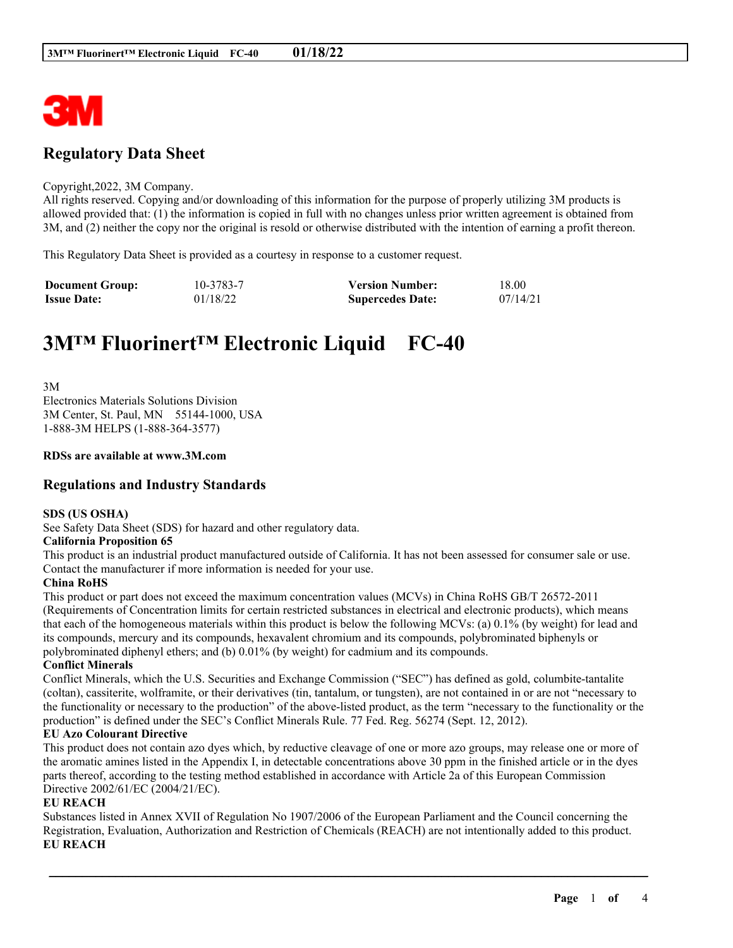

## **Regulatory Data Sheet**

#### Copyright,2022, 3M Company.

All rights reserved. Copying and/or downloading of this information for the purpose of properly utilizing 3M products is allowed provided that: (1) the information is copied in full with no changes unless prior written agreement is obtained from 3M, and (2) neither the copy nor the original is resold or otherwise distributed with the intention of earning a profit thereon.

This Regulatory Data Sheet is provided as a courtesy in response to a customer request.

| <b>Document Group:</b> | 10-3783-7 | <b>Version Number:</b>  | 18.00    |
|------------------------|-----------|-------------------------|----------|
| <b>Issue Date:</b>     | 01/18/22  | <b>Supercedes Date:</b> | 07/14/21 |

# **3M™ Fluorinert™ Electronic Liquid FC-40**

3M Electronics Materials Solutions Division 3M Center, St. Paul, MN 55144-1000, USA 1-888-3M HELPS (1-888-364-3577)

#### **RDSs are available at www.3M.com**

## **Regulations and Industry Standards**

#### **SDS (US OSHA)**

See Safety Data Sheet (SDS) for hazard and other regulatory data.

#### **California Proposition 65**

This product is an industrial product manufactured outside of California. It has not been assessed for consumer sale or use. Contact the manufacturer if more information is needed for your use.

#### **China RoHS**

This product or part does not exceed the maximum concentration values (MCVs) in China RoHS GB/T 26572-2011 (Requirements of Concentration limits for certain restricted substances in electrical and electronic products), which means that each of the homogeneous materials within this product is below the following MCVs: (a) 0.1% (by weight) for lead and its compounds, mercury and its compounds, hexavalent chromium and its compounds, polybrominated biphenyls or polybrominated diphenyl ethers; and (b) 0.01% (by weight) for cadmium and its compounds.

#### **Conflict Minerals**

Conflict Minerals, which the U.S. Securities and Exchange Commission ("SEC") has defined as gold, columbite-tantalite (coltan), cassiterite, wolframite, or their derivatives (tin, tantalum, or tungsten), are not contained in or are not "necessary to the functionality or necessary to the production" of the above-listed product, as the term "necessary to the functionality or the production" is defined under the SEC's Conflict Minerals Rule. 77 Fed. Reg. 56274 (Sept. 12, 2012).

#### **EU Azo Colourant Directive**

This product does not contain azo dyes which, by reductive cleavage of one or more azo groups, may release one or more of the aromatic amines listed in the Appendix I, in detectable concentrations above 30 ppm in the finished article or in the dyes parts thereof, according to the testing method established in accordance with Article 2a of this European Commission Directive 2002/61/EC (2004/21/EC).

#### **EU REACH**

Substances listed in Annex XVII of Regulation No 1907/2006 of the European Parliament and the Council concerning the Registration, Evaluation, Authorization and Restriction of Chemicals (REACH) are not intentionally added to this product. **EU REACH**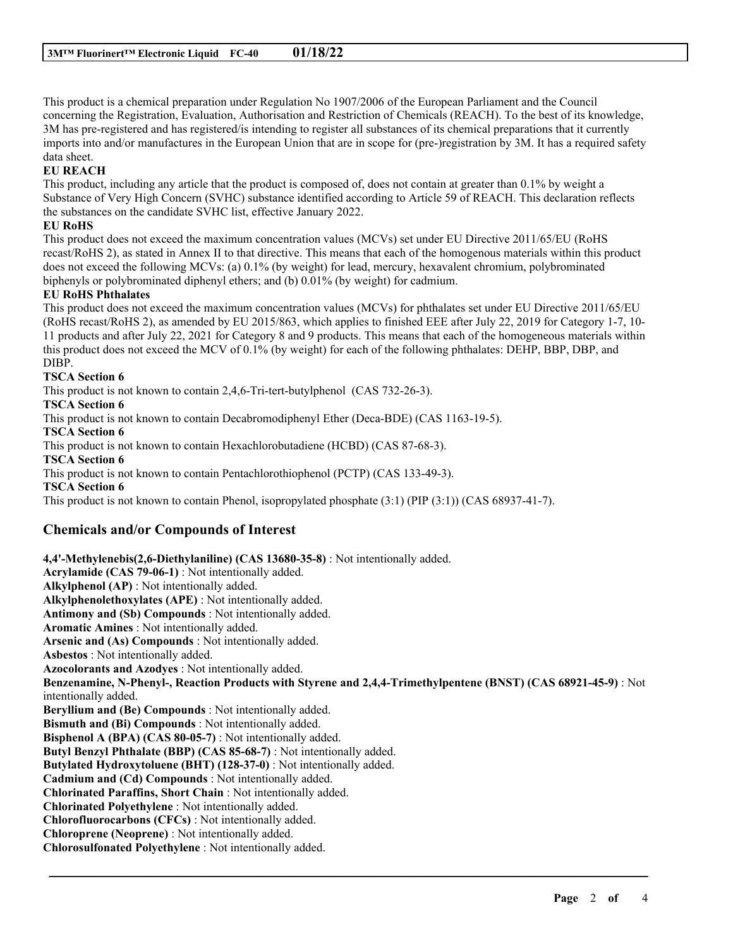This product is a chemical preparation under Regulation No 1907/2006 of the European Parliament and the Council concerning the Registration, Evaluation, Authorisation and Restriction of Chemicals (REACH). To the best of its knowledge, 3M has pre-registered and has registered/is intending to register all substances of its chemical preparations that it currently imports into and/or manufactures in the European Union that are in scope for (pre-)registration by 3M. It has a required safety data sheet.

## **EU REACH**

This product, including any article that the product is composed of, does not contain at greater than 0.1% by weight a Substance of Very High Concern (SVHC) substance identified according to Article 59 of REACH. This declaration reflects the substances on the candidate SVHC list, effective January 2022.

## **EU RoHS**

This product does not exceed the maximum concentration values (MCVs) set under EU Directive 2011/65/EU (RoHS recast/RoHS 2), as stated in Annex II to that directive. This means that each of the homogenous materials within this product does not exceed the following MCVs: (a) 0.1% (by weight) for lead, mercury, hexavalent chromium, polybrominated biphenyls or polybrominated diphenyl ethers; and (b) 0.01% (by weight) for cadmium.

## **EU RoHS Phthalates**

This product does not exceed the maximum concentration values (MCVs) for phthalates set under EU Directive 2011/65/EU (RoHS recast/RoHS 2), as amended by EU 2015/863, which applies to finished EEE after July 22, 2019 for Category 1-7, 10- 11 products and after July 22, 2021 for Category 8 and 9 products. This means that each of the homogeneous materials within this product does not exceed the MCV of 0.1% (by weight) for each of the following phthalates: DEHP, BBP, DBP, and DIBP.

## **TSCA Section 6**

This product is not known to contain 2,4,6-Tri-tert-butylphenol (CAS 732-26-3).

## **TSCA Section 6**

This product is not known to contain Decabromodiphenyl Ether (Deca-BDE) (CAS 1163-19-5).

**TSCA Section 6**

This product is not known to contain Hexachlorobutadiene (HCBD) (CAS 87-68-3).

**TSCA Section 6**

This product is not known to contain Pentachlorothiophenol (PCTP) (CAS 133-49-3).

**TSCA Section 6**

This product is not known to contain Phenol, isopropylated phosphate (3:1) (PIP (3:1)) (CAS 68937-41-7).

## **Chemicals and/or Compounds of Interest**

**4,4'-Methylenebis(2,6-Diethylaniline) (CAS 13680-35-8)** : Not intentionally added. **Acrylamide (CAS 79-06-1)** : Not intentionally added. **Alkylphenol (AP)** : Not intentionally added. **Alkylphenolethoxylates (APE)** : Not intentionally added. **Antimony and (Sb) Compounds** : Not intentionally added. **Aromatic Amines** : Not intentionally added. **Arsenic and (As) Compounds** : Not intentionally added. **Asbestos** : Not intentionally added. **Azocolorants and Azodyes** : Not intentionally added. **Benzenamine, N-Phenyl-, Reaction Products with Styrene and 2,4,4-Trimethylpentene (BNST) (CAS 68921-45-9)** : Not intentionally added. **Beryllium and (Be) Compounds** : Not intentionally added. **Bismuth and (Bi) Compounds** : Not intentionally added. **Bisphenol A (BPA) (CAS 80-05-7)** : Not intentionally added. **Butyl Benzyl Phthalate (BBP) (CAS 85-68-7)** : Not intentionally added. **Butylated Hydroxytoluene (BHT) (128-37-0)** : Not intentionally added. **Cadmium and (Cd) Compounds** : Not intentionally added. **Chlorinated Paraffins, Short Chain** : Not intentionally added. **Chlorinated Polyethylene** : Not intentionally added. **Chlorofluorocarbons (CFCs)** : Not intentionally added. **Chloroprene (Neoprene)** : Not intentionally added. **Chlorosulfonated Polyethylene** : Not intentionally added.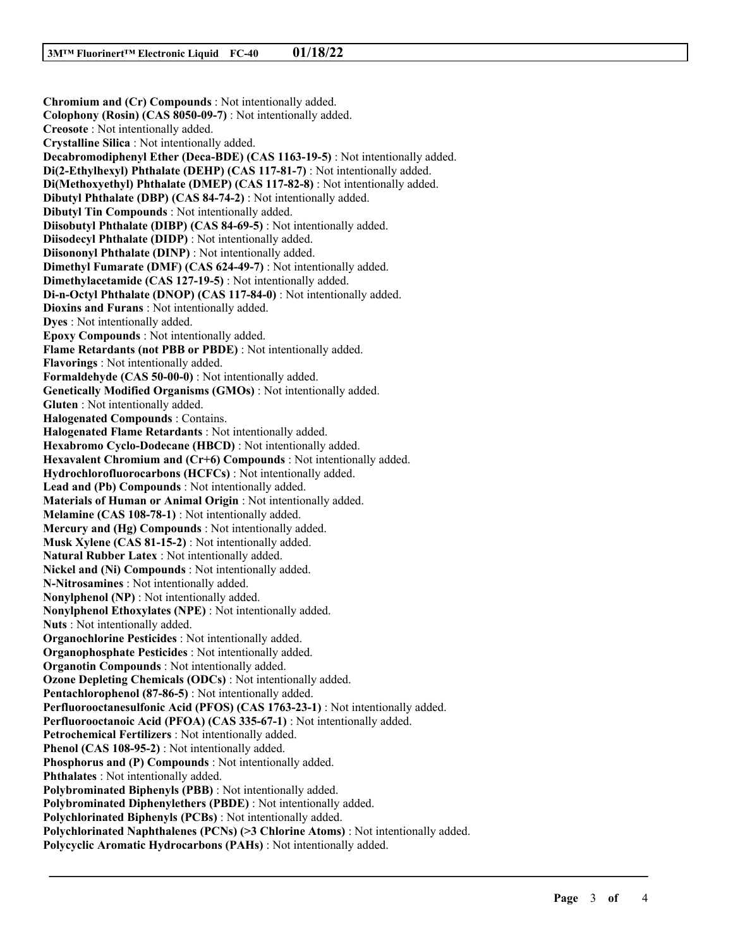**Chromium and (Cr) Compounds** : Not intentionally added. **Colophony (Rosin) (CAS 8050-09-7)** : Not intentionally added. **Creosote** : Not intentionally added. **Crystalline Silica** : Not intentionally added. **Decabromodiphenyl Ether (Deca-BDE) (CAS 1163-19-5)** : Not intentionally added. **Di(2-Ethylhexyl) Phthalate (DEHP) (CAS 117-81-7)** : Not intentionally added. **Di(Methoxyethyl) Phthalate (DMEP) (CAS 117-82-8)** : Not intentionally added. **Dibutyl Phthalate (DBP) (CAS 84-74-2)** : Not intentionally added. **Dibutyl Tin Compounds** : Not intentionally added. **Diisobutyl Phthalate (DIBP) (CAS 84-69-5)** : Not intentionally added. **Diisodecyl Phthalate (DIDP)** : Not intentionally added. **Diisononyl Phthalate (DINP)** : Not intentionally added. **Dimethyl Fumarate (DMF) (CAS 624-49-7)** : Not intentionally added. **Dimethylacetamide (CAS 127-19-5)** : Not intentionally added. **Di-n-Octyl Phthalate (DNOP) (CAS 117-84-0)** : Not intentionally added. **Dioxins and Furans** : Not intentionally added. **Dyes** : Not intentionally added. **Epoxy Compounds** : Not intentionally added. **Flame Retardants (not PBB or PBDE)** : Not intentionally added. **Flavorings** : Not intentionally added. **Formaldehyde (CAS 50-00-0)** : Not intentionally added. **Genetically Modified Organisms (GMOs)** : Not intentionally added. **Gluten** : Not intentionally added. **Halogenated Compounds** : Contains. **Halogenated Flame Retardants** : Not intentionally added. **Hexabromo Cyclo-Dodecane (HBCD)** : Not intentionally added. **Hexavalent Chromium and (Cr+6) Compounds** : Not intentionally added. **Hydrochlorofluorocarbons (HCFCs)** : Not intentionally added. **Lead and (Pb) Compounds** : Not intentionally added. **Materials of Human or Animal Origin** : Not intentionally added. **Melamine (CAS 108-78-1)** : Not intentionally added. **Mercury and (Hg) Compounds** : Not intentionally added. **Musk Xylene (CAS 81-15-2)** : Not intentionally added. **Natural Rubber Latex** : Not intentionally added. **Nickel and (Ni) Compounds** : Not intentionally added. **N-Nitrosamines** : Not intentionally added. **Nonylphenol (NP)** : Not intentionally added. **Nonylphenol Ethoxylates (NPE)** : Not intentionally added. **Nuts** : Not intentionally added. **Organochlorine Pesticides** : Not intentionally added. **Organophosphate Pesticides** : Not intentionally added. **Organotin Compounds** : Not intentionally added. **Ozone Depleting Chemicals (ODCs)** : Not intentionally added. **Pentachlorophenol (87-86-5)** : Not intentionally added. **Perfluorooctanesulfonic Acid (PFOS) (CAS 1763-23-1)** : Not intentionally added. **Perfluorooctanoic Acid (PFOA) (CAS 335-67-1)** : Not intentionally added. **Petrochemical Fertilizers** : Not intentionally added. **Phenol (CAS 108-95-2)** : Not intentionally added. **Phosphorus and (P) Compounds** : Not intentionally added. **Phthalates** : Not intentionally added. **Polybrominated Biphenyls (PBB)** : Not intentionally added. **Polybrominated Diphenylethers (PBDE)** : Not intentionally added. **Polychlorinated Biphenyls (PCBs)** : Not intentionally added. **Polychlorinated Naphthalenes (PCNs) (>3 Chlorine Atoms)** : Not intentionally added. **Polycyclic Aromatic Hydrocarbons (PAHs)** : Not intentionally added.